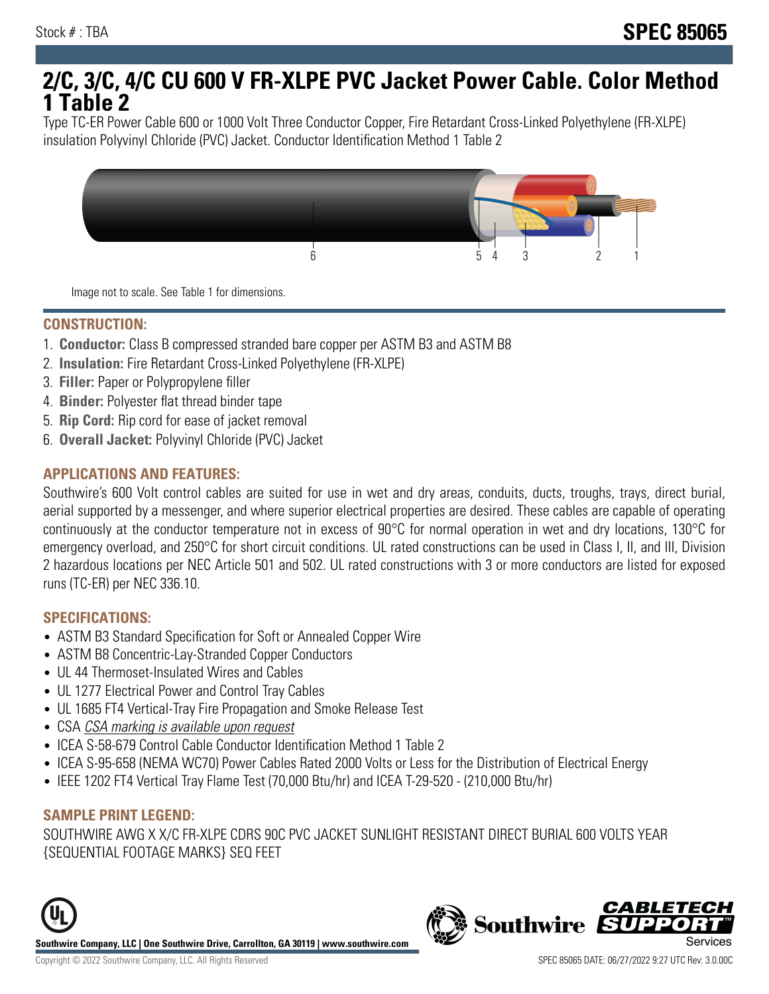# **2/C, 3/C, 4/C CU 600 V FR-XLPE PVC Jacket Power Cable. Color Method 1 Table 2**

Type TC-ER Power Cable 600 or 1000 Volt Three Conductor Copper, Fire Retardant Cross-Linked Polyethylene (FR-XLPE) insulation Polyvinyl Chloride (PVC) Jacket. Conductor Identification Method 1 Table 2



Image not to scale. See Table 1 for dimensions.

#### **CONSTRUCTION:**

- 1. **Conductor:** Class B compressed stranded bare copper per ASTM B3 and ASTM B8
- 2. **Insulation:** Fire Retardant Cross-Linked Polyethylene (FR-XLPE)
- 3. **Filler:** Paper or Polypropylene filler
- 4. **Binder:** Polyester flat thread binder tape
- 5. **Rip Cord:** Rip cord for ease of jacket removal
- 6. **Overall Jacket:** Polyvinyl Chloride (PVC) Jacket

## **APPLICATIONS AND FEATURES:**

Southwire's 600 Volt control cables are suited for use in wet and dry areas, conduits, ducts, troughs, trays, direct burial, aerial supported by a messenger, and where superior electrical properties are desired. These cables are capable of operating continuously at the conductor temperature not in excess of 90°C for normal operation in wet and dry locations, 130°C for emergency overload, and 250°C for short circuit conditions. UL rated constructions can be used in Class I, II, and III, Division 2 hazardous locations per NEC Article 501 and 502. UL rated constructions with 3 or more conductors are listed for exposed runs (TC-ER) per NEC 336.10.

#### **SPECIFICATIONS:**

- ASTM B3 Standard Specification for Soft or Annealed Copper Wire
- ASTM B8 Concentric-Lay-Stranded Copper Conductors
- UL 44 Thermoset-Insulated Wires and Cables
- UL 1277 Electrical Power and Control Tray Cables
- UL 1685 FT4 Vertical-Tray Fire Propagation and Smoke Release Test
- CSA CSA marking is available upon request
- ICEA S-58-679 Control Cable Conductor Identification Method 1 Table 2
- ICEA S-95-658 (NEMA WC70) Power Cables Rated 2000 Volts or Less for the Distribution of Electrical Energy
- IEEE 1202 FT4 Vertical Tray Flame Test (70,000 Btu/hr) and ICEA T-29-520 (210,000 Btu/hr)

#### **SAMPLE PRINT LEGEND:**

SOUTHWIRE AWG X X/C FR-XLPE CDRS 90C PVC JACKET SUNLIGHT RESISTANT DIRECT BURIAL 600 VOLTS YEAR {SEQUENTIAL FOOTAGE MARKS} SEQ FEET